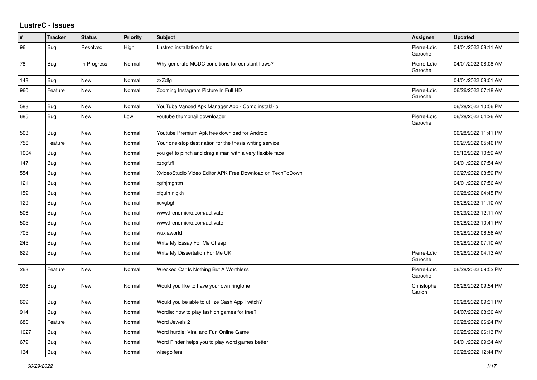## **LustreC - Issues**

| #    | <b>Tracker</b> | <b>Status</b> | Priority | <b>Subject</b>                                            | <b>Assignee</b>        | <b>Updated</b>      |
|------|----------------|---------------|----------|-----------------------------------------------------------|------------------------|---------------------|
| 96   | Bug            | Resolved      | High     | Lustrec installation failed                               | Pierre-Loïc<br>Garoche | 04/01/2022 08:11 AM |
| 78   | Bug            | In Progress   | Normal   | Why generate MCDC conditions for constant flows?          | Pierre-Loïc<br>Garoche | 04/01/2022 08:08 AM |
| 148  | Bug            | New           | Normal   | zxZdfg                                                    |                        | 04/01/2022 08:01 AM |
| 960  | Feature        | <b>New</b>    | Normal   | Zooming Instagram Picture In Full HD                      | Pierre-Loïc<br>Garoche | 06/26/2022 07:18 AM |
| 588  | <b>Bug</b>     | New           | Normal   | YouTube Vanced Apk Manager App - Como instalá-lo          |                        | 06/28/2022 10:56 PM |
| 685  | <b>Bug</b>     | New           | Low      | youtube thumbnail downloader                              | Pierre-Loïc<br>Garoche | 06/28/2022 04:26 AM |
| 503  | Bug            | New           | Normal   | Youtube Premium Apk free download for Android             |                        | 06/28/2022 11:41 PM |
| 756  | Feature        | New           | Normal   | Your one-stop destination for the thesis writing service  |                        | 06/27/2022 05:46 PM |
| 1004 | Bug            | New           | Normal   | you get to pinch and drag a man with a very flexible face |                        | 05/10/2022 10:59 AM |
| 147  | <b>Bug</b>     | New           | Normal   | xzxgfufi                                                  |                        | 04/01/2022 07:54 AM |
| 554  | Bug            | New           | Normal   | XvideoStudio Video Editor APK Free Download on TechToDown |                        | 06/27/2022 08:59 PM |
| 121  | Bug            | New           | Normal   | xgfhjmghtm                                                |                        | 04/01/2022 07:56 AM |
| 159  | Bug            | New           | Normal   | xfguih njgkh                                              |                        | 06/28/2022 04:45 PM |
| 129  | <b>Bug</b>     | New           | Normal   | xcvgbgh                                                   |                        | 06/28/2022 11:10 AM |
| 506  | Bug            | New           | Normal   | www.trendmicro.com/activate                               |                        | 06/29/2022 12:11 AM |
| 505  | Bug            | New           | Normal   | www.trendmicro.com/activate                               |                        | 06/28/2022 10:41 PM |
| 705  | <b>Bug</b>     | New           | Normal   | wuxiaworld                                                |                        | 06/28/2022 06:56 AM |
| 245  | Bug            | New           | Normal   | Write My Essay For Me Cheap                               |                        | 06/28/2022 07:10 AM |
| 829  | Bug            | New           | Normal   | Write My Dissertation For Me UK                           | Pierre-Loïc<br>Garoche | 06/26/2022 04:13 AM |
| 263  | Feature        | <b>New</b>    | Normal   | Wrecked Car Is Nothing But A Worthless                    | Pierre-Loïc<br>Garoche | 06/28/2022 09:52 PM |
| 938  | <b>Bug</b>     | New           | Normal   | Would you like to have your own ringtone                  | Christophe<br>Garion   | 06/26/2022 09:54 PM |
| 699  | Bug            | New           | Normal   | Would you be able to utilize Cash App Twitch?             |                        | 06/28/2022 09:31 PM |
| 914  | Bug            | New           | Normal   | Wordle: how to play fashion games for free?               |                        | 04/07/2022 08:30 AM |
| 680  | Feature        | New           | Normal   | Word Jewels 2                                             |                        | 06/28/2022 06:24 PM |
| 1027 | Bug            | New           | Normal   | Word hurdle: Viral and Fun Online Game                    |                        | 06/25/2022 06:13 PM |
| 679  | Bug            | New           | Normal   | Word Finder helps you to play word games better           |                        | 04/01/2022 09:34 AM |
| 134  | Bug            | New           | Normal   | wisegolfers                                               |                        | 06/28/2022 12:44 PM |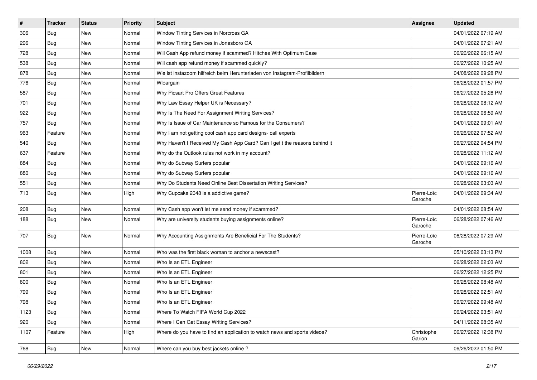| $\vert$ #     | <b>Tracker</b> | <b>Status</b> | <b>Priority</b> | <b>Subject</b>                                                             | Assignee               | <b>Updated</b>      |
|---------------|----------------|---------------|-----------------|----------------------------------------------------------------------------|------------------------|---------------------|
| 306           | <b>Bug</b>     | New           | Normal          | Window Tinting Services in Norcross GA                                     |                        | 04/01/2022 07:19 AM |
| 296           | Bug            | <b>New</b>    | Normal          | Window Tinting Services in Jonesboro GA                                    |                        | 04/01/2022 07:21 AM |
| 728           | <b>Bug</b>     | New           | Normal          | Will Cash App refund money if scammed? Hitches With Optimum Ease           |                        | 06/26/2022 06:15 AM |
| 538           | Bug            | New           | Normal          | Will cash app refund money if scammed quickly?                             |                        | 06/27/2022 10:25 AM |
| 878           | <b>Bug</b>     | New           | Normal          | Wie ist instazoom hilfreich beim Herunterladen von Instagram-Profilbildern |                        | 04/08/2022 09:28 PM |
| 776           | <b>Bug</b>     | New           | Normal          | Wibargain                                                                  |                        | 06/28/2022 01:57 PM |
| 587           | Bug            | New           | Normal          | Why Picsart Pro Offers Great Features                                      |                        | 06/27/2022 05:28 PM |
| 701           | <b>Bug</b>     | New           | Normal          | Why Law Essay Helper UK is Necessary?                                      |                        | 06/28/2022 08:12 AM |
| 922           | <b>Bug</b>     | New           | Normal          | Why Is The Need For Assignment Writing Services?                           |                        | 06/28/2022 06:59 AM |
| 757           | <b>Bug</b>     | New           | Normal          | Why Is Issue of Car Maintenance so Famous for the Consumers?               |                        | 04/01/2022 09:01 AM |
| 963           | Feature        | New           | Normal          | Why I am not getting cool cash app card designs- call experts              |                        | 06/26/2022 07:52 AM |
| 540           | Bug            | New           | Normal          | Why Haven't I Received My Cash App Card? Can I get t the reasons behind it |                        | 06/27/2022 04:54 PM |
| 637           | Feature        | New           | Normal          | Why do the Outlook rules not work in my account?                           |                        | 06/28/2022 11:12 AM |
| 884           | Bug            | New           | Normal          | Why do Subway Surfers popular                                              |                        | 04/01/2022 09:16 AM |
| 880           | Bug            | <b>New</b>    | Normal          | Why do Subway Surfers popular                                              |                        | 04/01/2022 09:16 AM |
| 551           | Bug            | New           | Normal          | Why Do Students Need Online Best Dissertation Writing Services?            |                        | 06/28/2022 03:03 AM |
| 713           | Bug            | New           | High            | Why Cupcake 2048 is a addictive game?                                      | Pierre-Loïc<br>Garoche | 04/01/2022 09:34 AM |
| 208           | <b>Bug</b>     | New           | Normal          | Why Cash app won't let me send money if scammed?                           |                        | 04/01/2022 08:54 AM |
| 188           | Bug            | New           | Normal          | Why are university students buying assignments online?                     | Pierre-Loïc<br>Garoche | 06/28/2022 07:46 AM |
| 707           | Bug            | New           | Normal          | Why Accounting Assignments Are Beneficial For The Students?                | Pierre-Loïc<br>Garoche | 06/28/2022 07:29 AM |
| 1008          | Bug            | New           | Normal          | Who was the first black woman to anchor a newscast?                        |                        | 05/10/2022 03:13 PM |
| 802           | Bug            | New           | Normal          | Who Is an ETL Engineer                                                     |                        | 06/28/2022 02:03 AM |
| 801           | Bug            | New           | Normal          | Who Is an ETL Engineer                                                     |                        | 06/27/2022 12:25 PM |
| 800           | <b>Bug</b>     | New           | Normal          | Who Is an ETL Engineer                                                     |                        | 06/28/2022 08:48 AM |
| 799           | Bug            | New           | Normal          | Who Is an ETL Engineer                                                     |                        | 06/28/2022 02:51 AM |
| 798           | Bug            | New           | Normal          | Who Is an ETL Engineer                                                     |                        | 06/27/2022 09:48 AM |
| 1123          | Bug            | New           | Normal          | Where To Watch FIFA World Cup 2022                                         |                        | 06/24/2022 03:51 AM |
| $ 920\rangle$ | Bug            | New           | Normal          | Where I Can Get Essay Writing Services?                                    |                        | 04/11/2022 08:35 AM |
| 1107          | Feature        | New           | High            | Where do you have to find an application to watch news and sports videos?  | Christophe<br>Garion   | 06/27/2022 12:38 PM |
| 768           | <b>Bug</b>     | New           | Normal          | Where can you buy best jackets online?                                     |                        | 06/26/2022 01:50 PM |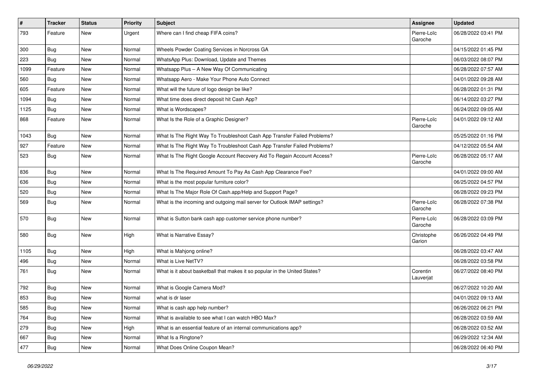| $\sharp$ | <b>Tracker</b> | <b>Status</b> | <b>Priority</b> | <b>Subject</b>                                                             | Assignee               | <b>Updated</b>      |
|----------|----------------|---------------|-----------------|----------------------------------------------------------------------------|------------------------|---------------------|
| 793      | Feature        | New           | Urgent          | Where can I find cheap FIFA coins?                                         | Pierre-Loïc<br>Garoche | 06/28/2022 03:41 PM |
| 300      | Bug            | <b>New</b>    | Normal          | Wheels Powder Coating Services in Norcross GA                              |                        | 04/15/2022 01:45 PM |
| 223      | Bug            | New           | Normal          | WhatsApp Plus: Download, Update and Themes                                 |                        | 06/03/2022 08:07 PM |
| 1099     | Feature        | New           | Normal          | Whatsapp Plus - A New Way Of Communicating                                 |                        | 06/28/2022 07:57 AM |
| 560      | Bug            | New           | Normal          | Whatsapp Aero - Make Your Phone Auto Connect                               |                        | 04/01/2022 09:28 AM |
| 605      | Feature        | New           | Normal          | What will the future of logo design be like?                               |                        | 06/28/2022 01:31 PM |
| 1094     | Bug            | New           | Normal          | What time does direct deposit hit Cash App?                                |                        | 06/14/2022 03:27 PM |
| 1125     | Bug            | New           | Normal          | What is Wordscapes?                                                        |                        | 06/24/2022 09:05 AM |
| 868      | Feature        | New           | Normal          | What Is the Role of a Graphic Designer?                                    | Pierre-Loïc<br>Garoche | 04/01/2022 09:12 AM |
| 1043     | Bug            | New           | Normal          | What Is The Right Way To Troubleshoot Cash App Transfer Failed Problems?   |                        | 05/25/2022 01:16 PM |
| 927      | Feature        | New           | Normal          | What Is The Right Way To Troubleshoot Cash App Transfer Failed Problems?   |                        | 04/12/2022 05:54 AM |
| 523      | Bug            | New           | Normal          | What Is The Right Google Account Recovery Aid To Regain Account Access?    | Pierre-Loïc<br>Garoche | 06/28/2022 05:17 AM |
| 836      | Bug            | New           | Normal          | What Is The Required Amount To Pay As Cash App Clearance Fee?              |                        | 04/01/2022 09:00 AM |
| 636      | Bug            | New           | Normal          | What is the most popular furniture color?                                  |                        | 06/25/2022 04:57 PM |
| 520      | Bug            | New           | Normal          | What Is The Major Role Of Cash.app/Help and Support Page?                  |                        | 06/28/2022 09:23 PM |
| 569      | Bug            | New           | Normal          | What is the incoming and outgoing mail server for Outlook IMAP settings?   | Pierre-Loïc<br>Garoche | 06/28/2022 07:38 PM |
| 570      | Bug            | New           | Normal          | What is Sutton bank cash app customer service phone number?                | Pierre-Loïc<br>Garoche | 06/28/2022 03:09 PM |
| 580      | Bug            | New           | High            | What is Narrative Essay?                                                   | Christophe<br>Garion   | 06/26/2022 04:49 PM |
| 1105     | Bug            | New           | High            | What is Mahjong online?                                                    |                        | 06/28/2022 03:47 AM |
| 496      | Bug            | New           | Normal          | What is Live NetTV?                                                        |                        | 06/28/2022 03:58 PM |
| 761      | Bug            | New           | Normal          | What is it about basketball that makes it so popular in the United States? | Corentin<br>Lauverjat  | 06/27/2022 08:40 PM |
| 792      | Bug            | New           | Normal          | What is Google Camera Mod?                                                 |                        | 06/27/2022 10:20 AM |
| 853      | Bug            | New           | Normal          | what is dr laser                                                           |                        | 04/01/2022 09:13 AM |
| 585      | <b>Bug</b>     | New           | Normal          | What is cash app help number?                                              |                        | 06/26/2022 06:21 PM |
| 764      | Bug            | New           | Normal          | What is available to see what I can watch HBO Max?                         |                        | 06/28/2022 03:59 AM |
| 279      | Bug            | New           | High            | What is an essential feature of an internal communications app?            |                        | 06/28/2022 03:52 AM |
| 667      | Bug            | New           | Normal          | What Is a Ringtone?                                                        |                        | 06/29/2022 12:34 AM |
| 477      | <b>Bug</b>     | New           | Normal          | What Does Online Coupon Mean?                                              |                        | 06/28/2022 06:40 PM |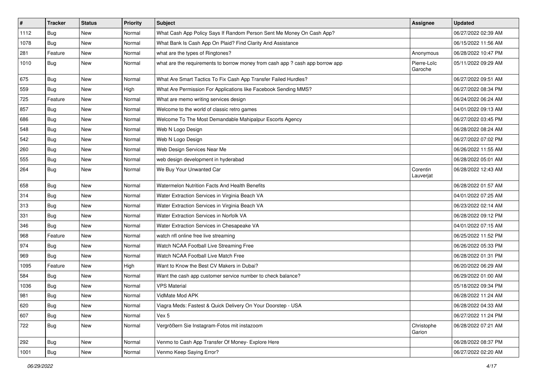| $\vert$ # | <b>Tracker</b> | <b>Status</b> | Priority | <b>Subject</b>                                                                | Assignee               | <b>Updated</b>      |
|-----------|----------------|---------------|----------|-------------------------------------------------------------------------------|------------------------|---------------------|
| 1112      | Bug            | New           | Normal   | What Cash App Policy Says If Random Person Sent Me Money On Cash App?         |                        | 06/27/2022 02:39 AM |
| 1078      | Bug            | New           | Normal   | What Bank Is Cash App On Plaid? Find Clarity And Assistance                   |                        | 06/15/2022 11:56 AM |
| 281       | Feature        | New           | Normal   | what are the types of Ringtones?                                              | Anonymous              | 06/28/2022 10:47 PM |
| 1010      | Bug            | New           | Normal   | what are the requirements to borrow money from cash app ? cash app borrow app | Pierre-Loïc<br>Garoche | 05/11/2022 09:29 AM |
| 675       | Bug            | New           | Normal   | What Are Smart Tactics To Fix Cash App Transfer Failed Hurdles?               |                        | 06/27/2022 09:51 AM |
| 559       | Bug            | New           | High     | What Are Permission For Applications like Facebook Sending MMS?               |                        | 06/27/2022 08:34 PM |
| 725       | Feature        | New           | Normal   | What are memo writing services design                                         |                        | 06/24/2022 06:24 AM |
| 857       | <b>Bug</b>     | New           | Normal   | Welcome to the world of classic retro games                                   |                        | 04/01/2022 09:13 AM |
| 686       | Bug            | New           | Normal   | Welcome To The Most Demandable Mahipalpur Escorts Agency                      |                        | 06/27/2022 03:45 PM |
| 548       | Bug            | New           | Normal   | Web N Logo Design                                                             |                        | 06/28/2022 08:24 AM |
| 542       | Bug            | New           | Normal   | Web N Logo Design                                                             |                        | 06/27/2022 07:02 PM |
| 260       | Bug            | <b>New</b>    | Normal   | Web Design Services Near Me                                                   |                        | 06/26/2022 11:55 AM |
| 555       | Bug            | New           | Normal   | web design development in hyderabad                                           |                        | 06/28/2022 05:01 AM |
| 264       | Bug            | New           | Normal   | We Buy Your Unwanted Car                                                      | Corentin<br>Lauverjat  | 06/28/2022 12:43 AM |
| 658       | Bug            | New           | Normal   | Watermelon Nutrition Facts And Health Benefits                                |                        | 06/28/2022 01:57 AM |
| 314       | Bug            | New           | Normal   | Water Extraction Services in Virginia Beach VA                                |                        | 04/01/2022 07:25 AM |
| 313       | <b>Bug</b>     | New           | Normal   | Water Extraction Services in Virginia Beach VA                                |                        | 06/23/2022 02:14 AM |
| 331       | Bug            | New           | Normal   | Water Extraction Services in Norfolk VA                                       |                        | 06/28/2022 09:12 PM |
| 346       | Bug            | <b>New</b>    | Normal   | Water Extraction Services in Chesapeake VA                                    |                        | 04/01/2022 07:15 AM |
| 968       | Feature        | New           | Normal   | watch nfl online free live streaming                                          |                        | 06/25/2022 11:52 PM |
| 974       | Bug            | New           | Normal   | Watch NCAA Football Live Streaming Free                                       |                        | 06/26/2022 05:33 PM |
| 969       | Bug            | New           | Normal   | Watch NCAA Football Live Match Free                                           |                        | 06/28/2022 01:31 PM |
| 1095      | Feature        | New           | High     | Want to Know the Best CV Makers in Dubai?                                     |                        | 06/20/2022 06:29 AM |
| 584       | Bug            | New           | Normal   | Want the cash app customer service number to check balance?                   |                        | 06/29/2022 01:00 AM |
| 1036      | Bug            | New           | Normal   | <b>VPS Material</b>                                                           |                        | 05/18/2022 09:34 PM |
| 981       | Bug            | New           | Normal   | VidMate Mod APK                                                               |                        | 06/28/2022 11:24 AM |
| 620       | Bug            | New           | Normal   | Viagra Meds: Fastest & Quick Delivery On Your Doorstep - USA                  |                        | 06/28/2022 04:33 AM |
| 607       | Bug            | New           | Normal   | Vex 5                                                                         |                        | 06/27/2022 11:24 PM |
| 722       | Bug            | New           | Normal   | Vergrößern Sie Instagram-Fotos mit instazoom                                  | Christophe<br>Garion   | 06/28/2022 07:21 AM |
| 292       | Bug            | New           | Normal   | Venmo to Cash App Transfer Of Money- Explore Here                             |                        | 06/28/2022 08:37 PM |
| 1001      | <b>Bug</b>     | New           | Normal   | Venmo Keep Saying Error?                                                      |                        | 06/27/2022 02:20 AM |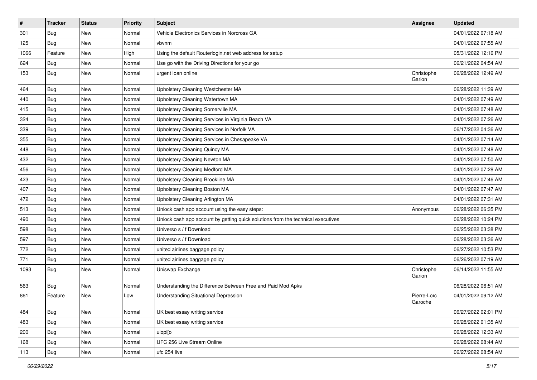| $\vert$ # | <b>Tracker</b> | <b>Status</b> | <b>Priority</b> | Subject                                                                          | Assignee               | <b>Updated</b>      |
|-----------|----------------|---------------|-----------------|----------------------------------------------------------------------------------|------------------------|---------------------|
| 301       | Bug            | New           | Normal          | Vehicle Electronics Services in Norcross GA                                      |                        | 04/01/2022 07:18 AM |
| 125       | Bug            | <b>New</b>    | Normal          | vbvnm                                                                            |                        | 04/01/2022 07:55 AM |
| 1066      | Feature        | New           | High            | Using the default Routerlogin.net web address for setup                          |                        | 05/31/2022 12:16 PM |
| 624       | Bug            | New           | Normal          | Use go with the Driving Directions for your go                                   |                        | 06/21/2022 04:54 AM |
| 153       | Bug            | New           | Normal          | urgent loan online                                                               | Christophe<br>Garion   | 06/28/2022 12:49 AM |
| 464       | Bug            | New           | Normal          | Upholstery Cleaning Westchester MA                                               |                        | 06/28/2022 11:39 AM |
| 440       | Bug            | New           | Normal          | Upholstery Cleaning Watertown MA                                                 |                        | 04/01/2022 07:49 AM |
| 415       | <b>Bug</b>     | New           | Normal          | Upholstery Cleaning Somerville MA                                                |                        | 04/01/2022 07:48 AM |
| 324       | Bug            | <b>New</b>    | Normal          | Upholstery Cleaning Services in Virginia Beach VA                                |                        | 04/01/2022 07:26 AM |
| 339       | Bug            | New           | Normal          | Upholstery Cleaning Services in Norfolk VA                                       |                        | 06/17/2022 04:36 AM |
| 355       | Bug            | New           | Normal          | Upholstery Cleaning Services in Chesapeake VA                                    |                        | 04/01/2022 07:14 AM |
| 448       | Bug            | New           | Normal          | <b>Upholstery Cleaning Quincy MA</b>                                             |                        | 04/01/2022 07:48 AM |
| 432       | <b>Bug</b>     | New           | Normal          | Upholstery Cleaning Newton MA                                                    |                        | 04/01/2022 07:50 AM |
| 456       | Bug            | <b>New</b>    | Normal          | <b>Upholstery Cleaning Medford MA</b>                                            |                        | 04/01/2022 07:28 AM |
| 423       | Bug            | New           | Normal          | Upholstery Cleaning Brookline MA                                                 |                        | 04/01/2022 07:46 AM |
| 407       | Bug            | New           | Normal          | Upholstery Cleaning Boston MA                                                    |                        | 04/01/2022 07:47 AM |
| 472       | Bug            | New           | Normal          | Upholstery Cleaning Arlington MA                                                 |                        | 04/01/2022 07:31 AM |
| 513       | Bug            | New           | Normal          | Unlock cash app account using the easy steps:                                    | Anonymous              | 06/28/2022 06:35 PM |
| 490       | Bug            | New           | Normal          | Unlock cash app account by getting quick solutions from the technical executives |                        | 06/28/2022 10:24 PM |
| 598       | Bug            | <b>New</b>    | Normal          | Universo s / f Download                                                          |                        | 06/25/2022 03:38 PM |
| 597       | Bug            | New           | Normal          | Universo s / f Download                                                          |                        | 06/28/2022 03:36 AM |
| 772       | Bug            | New           | Normal          | united airlines baggage policy                                                   |                        | 06/27/2022 10:53 PM |
| 771       | Bug            | New           | Normal          | united airlines baggage policy                                                   |                        | 06/26/2022 07:19 AM |
| 1093      | Bug            | New           | Normal          | Uniswap Exchange                                                                 | Christophe<br>Garion   | 06/14/2022 11:55 AM |
| 563       | Bug            | New           | Normal          | Understanding the Difference Between Free and Paid Mod Apks                      |                        | 06/28/2022 06:51 AM |
| 861       | Feature        | New           | Low             | <b>Understanding Situational Depression</b>                                      | Pierre-Loïc<br>Garoche | 04/01/2022 09:12 AM |
| 484       | Bug            | New           | Normal          | UK best essay writing service                                                    |                        | 06/27/2022 02:01 PM |
| 483       | <b>Bug</b>     | New           | Normal          | UK best essay writing service                                                    |                        | 06/28/2022 01:35 AM |
| 200       | Bug            | New           | Normal          | uiopi[o                                                                          |                        | 06/28/2022 12:33 AM |
| 168       | <b>Bug</b>     | New           | Normal          | UFC 256 Live Stream Online                                                       |                        | 06/28/2022 08:44 AM |
| 113       | <b>Bug</b>     | New           | Normal          | ufc 254 live                                                                     |                        | 06/27/2022 08:54 AM |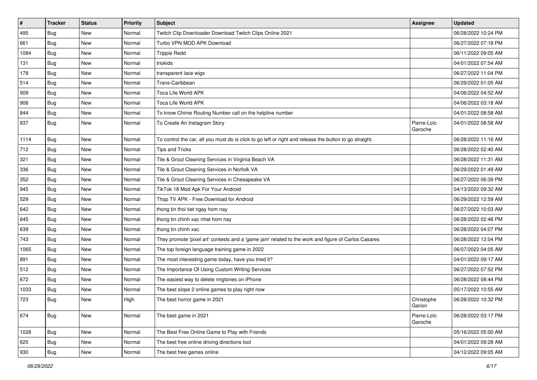| $\sharp$ | <b>Tracker</b> | <b>Status</b> | Priority | Subject                                                                                                 | <b>Assignee</b>        | <b>Updated</b>      |
|----------|----------------|---------------|----------|---------------------------------------------------------------------------------------------------------|------------------------|---------------------|
| 495      | Bug            | New           | Normal   | Twitch Clip Downloader Download Twitch Clips Online 2021                                                |                        | 06/28/2022 10:24 PM |
| 661      | Bug            | New           | Normal   | Turbo VPN MOD APK Download                                                                              |                        | 06/27/2022 07:18 PM |
| 1084     | Bug            | New           | Normal   | <b>Trippie Redd</b>                                                                                     |                        | 06/11/2022 09:05 AM |
| 131      | Bug            | New           | Normal   | triokids                                                                                                |                        | 04/01/2022 07:54 AM |
| 178      | Bug            | New           | Normal   | transparent lace wigs                                                                                   |                        | 06/27/2022 11:04 PM |
| 514      | Bug            | New           | Normal   | Trans-Caribbean                                                                                         |                        | 06/29/2022 01:05 AM |
| 909      | Bug            | New           | Normal   | Toca Life World APK                                                                                     |                        | 04/06/2022 04:52 AM |
| 908      | Bug            | New           | Normal   | Toca Life World APK                                                                                     |                        | 04/06/2022 03:18 AM |
| 844      | Bug            | New           | Normal   | To know Chime Routing Number call on the helpline number                                                |                        | 04/01/2022 08:58 AM |
| 837      | Bug            | New           | Normal   | To Create An Instagram Story                                                                            | Pierre-Loïc<br>Garoche | 04/01/2022 08:58 AM |
| 1114     | Bug            | <b>New</b>    | Normal   | To control the car, all you must do is click to go left or right and release the button to go straight. |                        | 06/28/2022 11:16 AM |
| 712      | Bug            | New           | Normal   | <b>Tips and Tricks</b>                                                                                  |                        | 06/28/2022 02:40 AM |
| 321      | <b>Bug</b>     | New           | Normal   | Tile & Grout Cleaning Services in Virginia Beach VA                                                     |                        | 06/28/2022 11:31 AM |
| 336      | Bug            | New           | Normal   | Tile & Grout Cleaning Services in Norfolk VA                                                            |                        | 06/29/2022 01:49 AM |
| 352      | Bug            | New           | Normal   | Tile & Grout Cleaning Services in Chesapeake VA                                                         |                        | 06/27/2022 06:39 PM |
| 945      | Bug            | New           | Normal   | TikTok 18 Mod Apk For Your Android                                                                      |                        | 04/13/2022 09:32 AM |
| 529      | Bug            | New           | Normal   | Thop TV APK - Free Download for Android                                                                 |                        | 06/29/2022 12:59 AM |
| 642      | Bug            | New           | Normal   | thong tin thoi tiet ngay hom nay                                                                        |                        | 06/27/2022 10:03 AM |
| 645      | Bug            | New           | Normal   | thong tin chinh xac nhat hom nay                                                                        |                        | 06/28/2022 02:48 PM |
| 639      | Bug            | <b>New</b>    | Normal   | thong tin chinh xac                                                                                     |                        | 06/28/2022 04:07 PM |
| 743      | Bug            | New           | Normal   | They promote 'pixel art' contests and a 'game jam' related to the work and figure of Carlos Casares     |                        | 06/28/2022 12:04 PM |
| 1065     | Bug            | New           | Normal   | The top foreign language training game in 2022                                                          |                        | 06/07/2022 04:05 AM |
| 891      | Bug            | New           | Normal   | The most interesting game today, have you tried it?                                                     |                        | 04/01/2022 09:17 AM |
| 512      | Bug            | New           | Normal   | The Importance Of Using Custom Writing Services                                                         |                        | 06/27/2022 07:52 PM |
| 672      | Bug            | New           | Normal   | The easiest way to delete ringtones on iPhone                                                           |                        | 06/28/2022 08:44 PM |
| 1033     | Bug            | New           | Normal   | The best slope 2 online games to play right now                                                         |                        | 05/17/2022 10:55 AM |
| 723      | Bug            | New           | High     | The best horror game in 2021                                                                            | Christophe<br>Garion   | 06/28/2022 10:32 PM |
| 674      | Bug            | New           | Normal   | The best game in 2021                                                                                   | Pierre-Loïc<br>Garoche | 06/28/2022 03:17 PM |
| 1028     | Bug            | New           | Normal   | The Best Free Online Game to Play with Friends                                                          |                        | 05/16/2022 05:00 AM |
| 625      | <b>Bug</b>     | New           | Normal   | The best free online driving directions tool                                                            |                        | 04/01/2022 09:28 AM |
| 930      | Bug            | New           | Normal   | The best free games online                                                                              |                        | 04/12/2022 09:05 AM |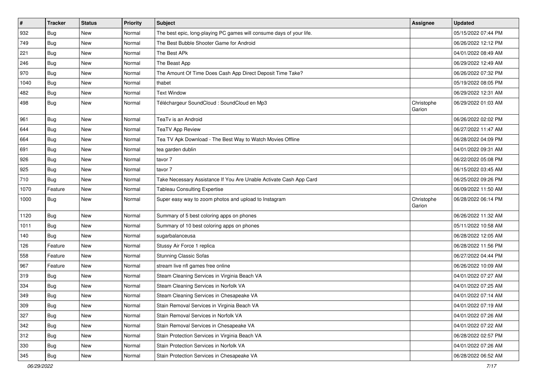| $\vert$ # | <b>Tracker</b> | <b>Status</b> | Priority | <b>Subject</b>                                                       | Assignee             | <b>Updated</b>      |
|-----------|----------------|---------------|----------|----------------------------------------------------------------------|----------------------|---------------------|
| 932       | Bug            | New           | Normal   | The best epic, long-playing PC games will consume days of your life. |                      | 05/15/2022 07:44 PM |
| 749       | Bug            | New           | Normal   | The Best Bubble Shooter Game for Android                             |                      | 06/26/2022 12:12 PM |
| 221       | Bug            | <b>New</b>    | Normal   | The Best APk                                                         |                      | 04/01/2022 08:49 AM |
| 246       | Bug            | New           | Normal   | The Beast App                                                        |                      | 06/29/2022 12:49 AM |
| 970       | Bug            | <b>New</b>    | Normal   | The Amount Of Time Does Cash App Direct Deposit Time Take?           |                      | 06/26/2022 07:32 PM |
| 1040      | Bug            | New           | Normal   | thabet                                                               |                      | 05/19/2022 08:05 PM |
| 482       | Bug            | New           | Normal   | <b>Text Window</b>                                                   |                      | 06/29/2022 12:31 AM |
| 498       | Bug            | New           | Normal   | Téléchargeur SoundCloud : SoundCloud en Mp3                          | Christophe<br>Garion | 06/29/2022 01:03 AM |
| 961       | Bug            | New           | Normal   | TeaTv is an Android                                                  |                      | 06/26/2022 02:02 PM |
| 644       | Bug            | New           | Normal   | <b>TeaTV App Review</b>                                              |                      | 06/27/2022 11:47 AM |
| 664       | Bug            | New           | Normal   | Tea TV Apk Download - The Best Way to Watch Movies Offline           |                      | 06/28/2022 04:09 PM |
| 691       | Bug            | New           | Normal   | tea garden dublin                                                    |                      | 04/01/2022 09:31 AM |
| 926       | Bug            | New           | Normal   | tavor 7                                                              |                      | 06/22/2022 05:08 PM |
| 925       | Bug            | New           | Normal   | tavor 7                                                              |                      | 06/15/2022 03:45 AM |
| 710       | Bug            | New           | Normal   | Take Necessary Assistance If You Are Unable Activate Cash App Card   |                      | 06/25/2022 09:26 PM |
| 1070      | Feature        | New           | Normal   | <b>Tableau Consulting Expertise</b>                                  |                      | 06/09/2022 11:50 AM |
| 1000      | Bug            | New           | Normal   | Super easy way to zoom photos and upload to Instagram                | Christophe<br>Garion | 06/28/2022 06:14 PM |
| 1120      | Bug            | New           | Normal   | Summary of 5 best coloring apps on phones                            |                      | 06/26/2022 11:32 AM |
| 1011      | Bug            | New           | Normal   | Summary of 10 best coloring apps on phones                           |                      | 05/11/2022 10:58 AM |
| 140       | Bug            | New           | Normal   | sugarbalanceusa                                                      |                      | 06/28/2022 12:05 AM |
| 126       | Feature        | New           | Normal   | Stussy Air Force 1 replica                                           |                      | 06/28/2022 11:56 PM |
| 558       | Feature        | New           | Normal   | <b>Stunning Classic Sofas</b>                                        |                      | 06/27/2022 04:44 PM |
| 967       | Feature        | New           | Normal   | stream live nfl games free online                                    |                      | 06/26/2022 10:09 AM |
| 319       | Bug            | New           | Normal   | Steam Cleaning Services in Virginia Beach VA                         |                      | 04/01/2022 07:27 AM |
| 334       | Bug            | New           | Normal   | Steam Cleaning Services in Norfolk VA                                |                      | 04/01/2022 07:25 AM |
| 349       | Bug            | New           | Normal   | Steam Cleaning Services in Chesapeake VA                             |                      | 04/01/2022 07:14 AM |
| 309       | Bug            | New           | Normal   | Stain Removal Services in Virginia Beach VA                          |                      | 04/01/2022 07:19 AM |
| 327       | Bug            | New           | Normal   | Stain Removal Services in Norfolk VA                                 |                      | 04/01/2022 07:26 AM |
| 342       | Bug            | New           | Normal   | Stain Removal Services in Chesapeake VA                              |                      | 04/01/2022 07:22 AM |
| 312       | Bug            | New           | Normal   | Stain Protection Services in Virginia Beach VA                       |                      | 06/28/2022 02:57 PM |
| 330       | Bug            | New           | Normal   | Stain Protection Services in Norfolk VA                              |                      | 04/01/2022 07:26 AM |
| 345       | <b>Bug</b>     | New           | Normal   | Stain Protection Services in Chesapeake VA                           |                      | 06/28/2022 06:52 AM |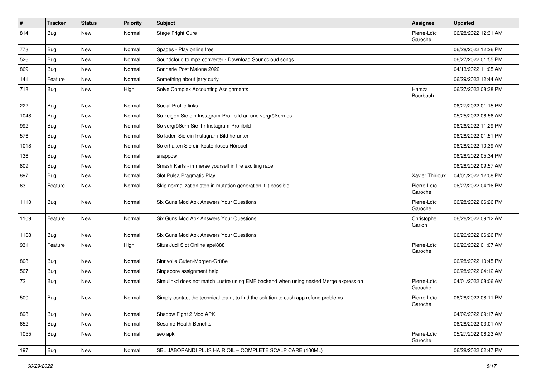| $\vert$ # | <b>Tracker</b> | <b>Status</b> | <b>Priority</b> | <b>Subject</b>                                                                       | Assignee               | <b>Updated</b>      |
|-----------|----------------|---------------|-----------------|--------------------------------------------------------------------------------------|------------------------|---------------------|
| 814       | Bug            | New           | Normal          | Stage Fright Cure                                                                    | Pierre-Loïc<br>Garoche | 06/28/2022 12:31 AM |
| 773       | Bug            | New           | Normal          | Spades - Play online free                                                            |                        | 06/28/2022 12:26 PM |
| 526       | <b>Bug</b>     | New           | Normal          | Soundcloud to mp3 converter - Download Soundcloud songs                              |                        | 06/27/2022 01:55 PM |
| 869       | Bug            | <b>New</b>    | Normal          | Sonnerie Post Malone 2022                                                            |                        | 04/13/2022 11:05 AM |
| 141       | Feature        | New           | Normal          | Something about jerry curly                                                          |                        | 06/29/2022 12:44 AM |
| 718       | Bug            | New           | High            | Solve Complex Accounting Assignments                                                 | Hamza<br>Bourbouh      | 06/27/2022 08:38 PM |
| 222       | Bug            | New           | Normal          | Social Profile links                                                                 |                        | 06/27/2022 01:15 PM |
| 1048      | Bug            | New           | Normal          | So zeigen Sie ein Instagram-Profilbild an und vergrößern es                          |                        | 05/25/2022 06:56 AM |
| 992       | Bug            | New           | Normal          | So vergrößern Sie Ihr Instagram-Profilbild                                           |                        | 06/26/2022 11:29 PM |
| 576       | Bug            | New           | Normal          | So laden Sie ein Instagram-Bild herunter                                             |                        | 06/28/2022 01:51 PM |
| 1018      | Bug            | New           | Normal          | So erhalten Sie ein kostenloses Hörbuch                                              |                        | 06/28/2022 10:39 AM |
| 136       | Bug            | New           | Normal          | snappow                                                                              |                        | 06/28/2022 05:34 PM |
| 809       | Bug            | New           | Normal          | Smash Karts - immerse yourself in the exciting race                                  |                        | 06/28/2022 09:57 AM |
| 897       | Bug            | New           | Normal          | Slot Pulsa Pragmatic Play                                                            | Xavier Thirioux        | 04/01/2022 12:08 PM |
| 63        | Feature        | New           | Normal          | Skip normalization step in mutation generation if it possible                        | Pierre-Loïc<br>Garoche | 06/27/2022 04:16 PM |
| 1110      | Bug            | New           | Normal          | Six Guns Mod Apk Answers Your Questions                                              | Pierre-Loïc<br>Garoche | 06/28/2022 06:26 PM |
| 1109      | Feature        | New           | Normal          | Six Guns Mod Apk Answers Your Questions                                              | Christophe<br>Garion   | 06/26/2022 09:12 AM |
| 1108      | Bug            | New           | Normal          | Six Guns Mod Apk Answers Your Questions                                              |                        | 06/26/2022 06:26 PM |
| 931       | Feature        | New           | High            | Situs Judi Slot Online apel888                                                       | Pierre-Loïc<br>Garoche | 06/26/2022 01:07 AM |
| 808       | Bug            | New           | Normal          | Sinnvolle Guten-Morgen-Grüße                                                         |                        | 06/28/2022 10:45 PM |
| 567       | Bug            | New           | Normal          | Singapore assignment help                                                            |                        | 06/28/2022 04:12 AM |
| 72        | Bug            | New           | Normal          | Simulinkd does not match Lustre using EMF backend when using nested Merge expression | Pierre-Loïc<br>Garoche | 04/01/2022 08:06 AM |
| 500       | Bug            | New           | Normal          | Simply contact the technical team, to find the solution to cash app refund problems. | Pierre-Loïc<br>Garoche | 06/28/2022 08:11 PM |
| 898       | Bug            | New           | Normal          | Shadow Fight 2 Mod APK                                                               |                        | 04/02/2022 09:17 AM |
| 652       | <b>Bug</b>     | New           | Normal          | Sesame Health Benefits                                                               |                        | 06/28/2022 03:01 AM |
| 1055      | Bug            | New           | Normal          | seo apk                                                                              | Pierre-Loïc<br>Garoche | 05/27/2022 06:23 AM |
| 197       | Bug            | New           | Normal          | SBL JABORANDI PLUS HAIR OIL - COMPLETE SCALP CARE (100ML)                            |                        | 06/28/2022 02:47 PM |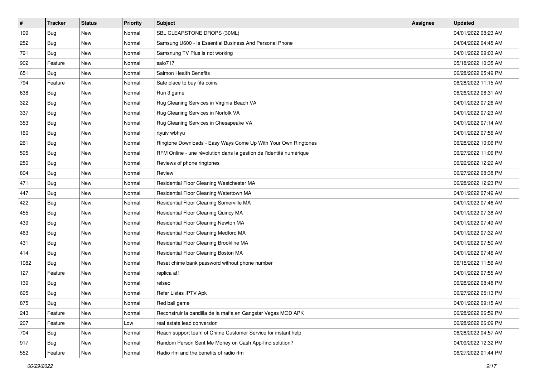| $\sharp$ | <b>Tracker</b> | <b>Status</b> | <b>Priority</b> | Subject                                                             | <b>Assignee</b> | <b>Updated</b>      |
|----------|----------------|---------------|-----------------|---------------------------------------------------------------------|-----------------|---------------------|
| 199      | Bug            | New           | Normal          | SBL CLEARSTONE DROPS (30ML)                                         |                 | 04/01/2022 08:23 AM |
| 252      | Bug            | New           | Normal          | Samsung U600 - Is Essential Business And Personal Phone             |                 | 04/04/2022 04:45 AM |
| 791      | Bug            | New           | Normal          | Samsnung TV Plus is not working                                     |                 | 04/01/2022 09:03 AM |
| 902      | Feature        | New           | Normal          | salo717                                                             |                 | 05/18/2022 10:35 AM |
| 651      | Bug            | <b>New</b>    | Normal          | Salmon Health Benefits                                              |                 | 06/28/2022 05:49 PM |
| 794      | Feature        | New           | Normal          | Safe place to buy fifa coins                                        |                 | 06/28/2022 11:15 AM |
| 638      | Bug            | New           | Normal          | Run 3 game                                                          |                 | 06/26/2022 06:31 AM |
| 322      | Bug            | New           | Normal          | Rug Cleaning Services in Virginia Beach VA                          |                 | 04/01/2022 07:26 AM |
| 337      | Bug            | New           | Normal          | Rug Cleaning Services in Norfolk VA                                 |                 | 04/01/2022 07:23 AM |
| 353      | Bug            | New           | Normal          | Rug Cleaning Services in Chesapeake VA                              |                 | 04/01/2022 07:14 AM |
| 160      | Bug            | New           | Normal          | rtyuiv wbhyu                                                        |                 | 04/01/2022 07:56 AM |
| 261      | Bug            | New           | Normal          | Ringtone Downloads - Easy Ways Come Up With Your Own Ringtones      |                 | 06/28/2022 10:06 PM |
| 595      | Bug            | New           | Normal          | RFM Online - une révolution dans la gestion de l'identité numérique |                 | 06/27/2022 11:06 PM |
| 250      | Bug            | New           | Normal          | Reviews of phone ringtones                                          |                 | 06/29/2022 12:29 AM |
| 804      | Bug            | New           | Normal          | Review                                                              |                 | 06/27/2022 08:38 PM |
| 471      | Bug            | New           | Normal          | Residential Floor Cleaning Westchester MA                           |                 | 06/28/2022 12:23 PM |
| 447      | Bug            | New           | Normal          | Residential Floor Cleaning Watertown MA                             |                 | 04/01/2022 07:49 AM |
| 422      | Bug            | <b>New</b>    | Normal          | Residential Floor Cleaning Somerville MA                            |                 | 04/01/2022 07:46 AM |
| 455      | Bug            | New           | Normal          | Residential Floor Cleaning Quincy MA                                |                 | 04/01/2022 07:38 AM |
| 439      | Bug            | New           | Normal          | Residential Floor Cleaning Newton MA                                |                 | 04/01/2022 07:49 AM |
| 463      | Bug            | New           | Normal          | Residential Floor Cleaning Medford MA                               |                 | 04/01/2022 07:32 AM |
| 431      | Bug            | New           | Normal          | Residential Floor Cleaning Brookline MA                             |                 | 04/01/2022 07:50 AM |
| 414      | Bug            | New           | Normal          | Residential Floor Cleaning Boston MA                                |                 | 04/01/2022 07:46 AM |
| 1082     | Bug            | New           | Normal          | Reset chime bank password without phone number                      |                 | 06/15/2022 11:56 AM |
| 127      | Feature        | New           | Normal          | replica af1                                                         |                 | 04/01/2022 07:55 AM |
| 139      | Bug            | New           | Normal          | relseo                                                              |                 | 06/28/2022 08:48 PM |
| 695      | Bug            | New           | Normal          | Refer Listas IPTV Apk                                               |                 | 06/27/2022 05:13 PM |
| 875      | Bug            | New           | Normal          | Red ball game                                                       |                 | 04/01/2022 09:15 AM |
| 243      | Feature        | New           | Normal          | Reconstruir la pandilla de la mafia en Gangstar Vegas MOD APK       |                 | 06/28/2022 06:59 PM |
| 207      | Feature        | New           | Low             | real estate lead conversion                                         |                 | 06/28/2022 06:09 PM |
| 704      | Bug            | New           | Normal          | Reach support team of Chime Customer Service for instant help       |                 | 06/28/2022 04:57 AM |
| 917      | Bug            | New           | Normal          | Random Person Sent Me Money on Cash App-find solution?              |                 | 04/09/2022 12:32 PM |
| 552      | Feature        | New           | Normal          | Radio rfm and the benefits of radio rfm                             |                 | 06/27/2022 01:44 PM |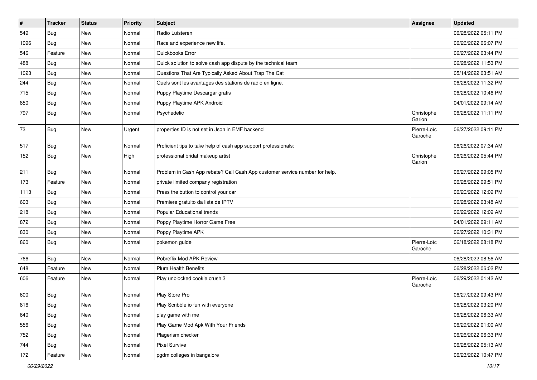| $\sharp$ | <b>Tracker</b> | <b>Status</b> | <b>Priority</b> | <b>Subject</b>                                                              | Assignee               | <b>Updated</b>      |
|----------|----------------|---------------|-----------------|-----------------------------------------------------------------------------|------------------------|---------------------|
| 549      | Bug            | New           | Normal          | Radio Luisteren                                                             |                        | 06/28/2022 05:11 PM |
| 1096     | Bug            | <b>New</b>    | Normal          | Race and experience new life.                                               |                        | 06/26/2022 06:07 PM |
| 546      | Feature        | New           | Normal          | Quickbooks Error                                                            |                        | 06/27/2022 03:44 PM |
| 488      | Bug            | New           | Normal          | Quick solution to solve cash app dispute by the technical team              |                        | 06/28/2022 11:53 PM |
| 1023     | Bug            | <b>New</b>    | Normal          | Questions That Are Typically Asked About Trap The Cat                       |                        | 05/14/2022 03:51 AM |
| 244      | Bug            | New           | Normal          | Quels sont les avantages des stations de radio en ligne.                    |                        | 06/28/2022 11:32 PM |
| 715      | Bug            | New           | Normal          | Puppy Playtime Descargar gratis                                             |                        | 06/28/2022 10:46 PM |
| 850      | Bug            | <b>New</b>    | Normal          | Puppy Playtime APK Android                                                  |                        | 04/01/2022 09:14 AM |
| 797      | Bug            | New           | Normal          | Psychedelic                                                                 | Christophe<br>Garion   | 06/28/2022 11:11 PM |
| 73       | Bug            | New           | Urgent          | properties ID is not set in Json in EMF backend                             | Pierre-Loïc<br>Garoche | 06/27/2022 09:11 PM |
| 517      | Bug            | New           | Normal          | Proficient tips to take help of cash app support professionals:             |                        | 06/26/2022 07:34 AM |
| 152      | Bug            | New           | High            | professional bridal makeup artist                                           | Christophe<br>Garion   | 06/26/2022 05:44 PM |
| 211      | Bug            | New           | Normal          | Problem in Cash App rebate? Call Cash App customer service number for help. |                        | 06/27/2022 09:05 PM |
| 173      | Feature        | New           | Normal          | private limited company registration                                        |                        | 06/28/2022 09:51 PM |
| 1113     | Bug            | New           | Normal          | Press the button to control your car                                        |                        | 06/20/2022 12:09 PM |
| 603      | Bug            | New           | Normal          | Premiere gratuito da lista de IPTV                                          |                        | 06/28/2022 03:48 AM |
| 218      | Bug            | New           | Normal          | Popular Educational trends                                                  |                        | 06/29/2022 12:09 AM |
| 872      | Bug            | New           | Normal          | Poppy Playtime Horror Game Free                                             |                        | 04/01/2022 09:11 AM |
| 830      | Bug            | New           | Normal          | Poppy Playtime APK                                                          |                        | 06/27/2022 10:31 PM |
| 860      | Bug            | New           | Normal          | pokemon guide                                                               | Pierre-Loïc<br>Garoche | 06/18/2022 08:18 PM |
| 766      | Bug            | New           | Normal          | Pobreflix Mod APK Review                                                    |                        | 06/28/2022 08:56 AM |
| 648      | Feature        | New           | Normal          | <b>Plum Health Benefits</b>                                                 |                        | 06/28/2022 06:02 PM |
| 606      | Feature        | New           | Normal          | Play unblocked cookie crush 3                                               | Pierre-Loïc<br>Garoche | 06/29/2022 01:42 AM |
| 600      | Bug            | New           | Normal          | Play Store Pro                                                              |                        | 06/27/2022 09:43 PM |
| 816      | Bug            | New           | Normal          | Play Scribble io fun with everyone                                          |                        | 06/28/2022 03:20 PM |
| 640      | Bug            | New           | Normal          | play game with me                                                           |                        | 06/28/2022 06:33 AM |
| 556      | Bug            | New           | Normal          | Play Game Mod Apk With Your Friends                                         |                        | 06/29/2022 01:00 AM |
| 752      | Bug            | New           | Normal          | Plagerism checker                                                           |                        | 06/26/2022 06:33 PM |
| 744      | Bug            | New           | Normal          | Pixel Survive                                                               |                        | 06/28/2022 05:13 AM |
| 172      | Feature        | New           | Normal          | pgdm colleges in bangalore                                                  |                        | 06/23/2022 10:47 PM |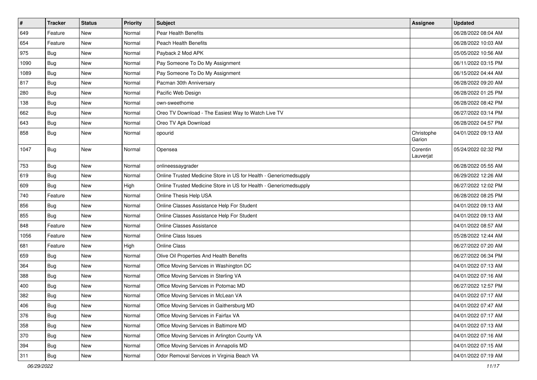| $\pmb{\#}$ | <b>Tracker</b> | <b>Status</b> | Priority | Subject                                                           | Assignee              | <b>Updated</b>      |
|------------|----------------|---------------|----------|-------------------------------------------------------------------|-----------------------|---------------------|
| 649        | Feature        | New           | Normal   | Pear Health Benefits                                              |                       | 06/28/2022 08:04 AM |
| 654        | Feature        | New           | Normal   | <b>Peach Health Benefits</b>                                      |                       | 06/28/2022 10:03 AM |
| 975        | <b>Bug</b>     | New           | Normal   | Payback 2 Mod APK                                                 |                       | 05/05/2022 10:56 AM |
| 1090       | Bug            | <b>New</b>    | Normal   | Pay Someone To Do My Assignment                                   |                       | 06/11/2022 03:15 PM |
| 1089       | Bug            | <b>New</b>    | Normal   | Pay Someone To Do My Assignment                                   |                       | 06/15/2022 04:44 AM |
| 817        | <b>Bug</b>     | New           | Normal   | Pacman 30th Anniversary                                           |                       | 06/28/2022 09:20 AM |
| 280        | <b>Bug</b>     | <b>New</b>    | Normal   | Pacific Web Design                                                |                       | 06/28/2022 01:25 PM |
| 138        | Bug            | <b>New</b>    | Normal   | own-sweethome                                                     |                       | 06/28/2022 08:42 PM |
| 662        | <b>Bug</b>     | <b>New</b>    | Normal   | Oreo TV Download - The Easiest Way to Watch Live TV               |                       | 06/27/2022 03:14 PM |
| 643        | <b>Bug</b>     | <b>New</b>    | Normal   | Oreo TV Apk Download                                              |                       | 06/28/2022 04:57 PM |
| 858        | Bug            | New           | Normal   | opourid                                                           | Christophe<br>Garion  | 04/01/2022 09:13 AM |
| 1047       | Bug            | <b>New</b>    | Normal   | Opensea                                                           | Corentin<br>Lauverjat | 05/24/2022 02:32 PM |
| 753        | <b>Bug</b>     | <b>New</b>    | Normal   | onlineessaygrader                                                 |                       | 06/28/2022 05:55 AM |
| 619        | <b>Bug</b>     | <b>New</b>    | Normal   | Online Trusted Medicine Store in US for Health - Genericmedsupply |                       | 06/29/2022 12:26 AM |
| 609        | <b>Bug</b>     | <b>New</b>    | High     | Online Trusted Medicine Store in US for Health - Genericmedsupply |                       | 06/27/2022 12:02 PM |
| 740        | Feature        | <b>New</b>    | Normal   | Online Thesis Help USA                                            |                       | 06/28/2022 08:25 PM |
| 856        | <b>Bug</b>     | New           | Normal   | Online Classes Assistance Help For Student                        |                       | 04/01/2022 09:13 AM |
| 855        | Bug            | <b>New</b>    | Normal   | Online Classes Assistance Help For Student                        |                       | 04/01/2022 09:13 AM |
| 848        | Feature        | <b>New</b>    | Normal   | Online Classes Assistance                                         |                       | 04/01/2022 08:57 AM |
| 1056       | Feature        | <b>New</b>    | Normal   | Online Class Issues                                               |                       | 05/28/2022 12:44 AM |
| 681        | Feature        | New           | High     | <b>Online Class</b>                                               |                       | 06/27/2022 07:20 AM |
| 659        | Bug            | New           | Normal   | Olive Oil Properties And Health Benefits                          |                       | 06/27/2022 06:34 PM |
| 364        | Bug            | <b>New</b>    | Normal   | Office Moving Services in Washington DC                           |                       | 04/01/2022 07:13 AM |
| 388        | <b>Bug</b>     | <b>New</b>    | Normal   | Office Moving Services in Sterling VA                             |                       | 04/01/2022 07:16 AM |
| 400        | Bug            | New           | Normal   | Office Moving Services in Potomac MD                              |                       | 06/27/2022 12:57 PM |
| 382        | Bug            | <b>New</b>    | Normal   | Office Moving Services in McLean VA                               |                       | 04/01/2022 07:17 AM |
| 406        | Bug            | New           | Normal   | Office Moving Services in Gaithersburg MD                         |                       | 04/01/2022 07:47 AM |
| 376        | Bug            | New           | Normal   | Office Moving Services in Fairfax VA                              |                       | 04/01/2022 07:17 AM |
| 358        | Bug            | New           | Normal   | Office Moving Services in Baltimore MD                            |                       | 04/01/2022 07:13 AM |
| 370        | Bug            | New           | Normal   | Office Moving Services in Arlington County VA                     |                       | 04/01/2022 07:16 AM |
| 394        | Bug            | New           | Normal   | Office Moving Services in Annapolis MD                            |                       | 04/01/2022 07:15 AM |
| 311        | <b>Bug</b>     | New           | Normal   | Odor Removal Services in Virginia Beach VA                        |                       | 04/01/2022 07:19 AM |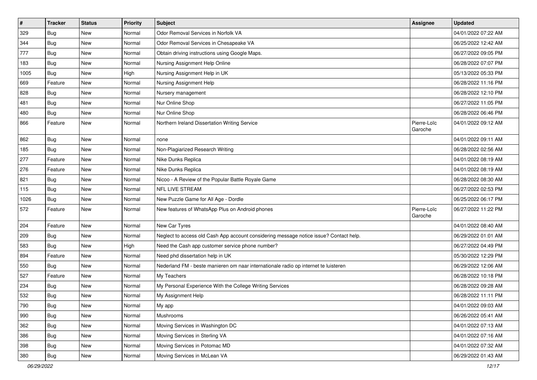| $\pmb{\#}$ | <b>Tracker</b> | <b>Status</b> | Priority | Subject                                                                                | Assignee               | <b>Updated</b>      |
|------------|----------------|---------------|----------|----------------------------------------------------------------------------------------|------------------------|---------------------|
| 329        | Bug            | New           | Normal   | Odor Removal Services in Norfolk VA                                                    |                        | 04/01/2022 07:22 AM |
| 344        | Bug            | <b>New</b>    | Normal   | Odor Removal Services in Chesapeake VA                                                 |                        | 06/25/2022 12:42 AM |
| 777        | <b>Bug</b>     | New           | Normal   | Obtain driving instructions using Google Maps.                                         |                        | 06/27/2022 09:05 PM |
| 183        | Bug            | New           | Normal   | Nursing Assignment Help Online                                                         |                        | 06/28/2022 07:07 PM |
| 1005       | Bug            | <b>New</b>    | High     | Nursing Assignment Help in UK                                                          |                        | 05/13/2022 05:33 PM |
| 669        | Feature        | New           | Normal   | Nursing Assignment Help                                                                |                        | 06/28/2022 11:16 PM |
| 828        | <b>Bug</b>     | <b>New</b>    | Normal   | Nursery management                                                                     |                        | 06/28/2022 12:10 PM |
| 481        | Bug            | New           | Normal   | Nur Online Shop                                                                        |                        | 06/27/2022 11:05 PM |
| 480        | <b>Bug</b>     | <b>New</b>    | Normal   | Nur Online Shop                                                                        |                        | 06/28/2022 06:46 PM |
| 866        | Feature        | <b>New</b>    | Normal   | Northern Ireland Dissertation Writing Service                                          | Pierre-Loïc<br>Garoche | 04/01/2022 09:12 AM |
| 862        | <b>Bug</b>     | New           | Normal   | none                                                                                   |                        | 04/01/2022 09:11 AM |
| 185        | Bug            | <b>New</b>    | Normal   | Non-Plagiarized Research Writing                                                       |                        | 06/28/2022 02:56 AM |
| 277        | Feature        | New           | Normal   | Nike Dunks Replica                                                                     |                        | 04/01/2022 08:19 AM |
| 276        | Feature        | <b>New</b>    | Normal   | Nike Dunks Replica                                                                     |                        | 04/01/2022 08:19 AM |
| 821        | Bug            | New           | Normal   | Nicoo - A Review of the Popular Battle Royale Game                                     |                        | 06/28/2022 08:30 AM |
| 115        | <b>Bug</b>     | New           | Normal   | NFL LIVE STREAM                                                                        |                        | 06/27/2022 02:53 PM |
| 1026       | Bug            | <b>New</b>    | Normal   | New Puzzle Game for All Age - Dordle                                                   |                        | 06/25/2022 06:17 PM |
| 572        | Feature        | <b>New</b>    | Normal   | New features of WhatsApp Plus on Android phones                                        | Pierre-Loïc<br>Garoche | 06/27/2022 11:22 PM |
| 204        | Feature        | <b>New</b>    | Normal   | New Car Tyres                                                                          |                        | 04/01/2022 08:40 AM |
| 209        | <b>Bug</b>     | New           | Normal   | Neglect to access old Cash App account considering message notice issue? Contact help. |                        | 06/29/2022 01:01 AM |
| 583        | Bug            | New           | High     | Need the Cash app customer service phone number?                                       |                        | 06/27/2022 04:49 PM |
| 894        | Feature        | New           | Normal   | Need phd dissertation help in UK                                                       |                        | 05/30/2022 12:29 PM |
| 550        | Bug            | <b>New</b>    | Normal   | Nederland FM - beste manieren om naar internationale radio op internet te luisteren    |                        | 06/29/2022 12:06 AM |
| 527        | Feature        | <b>New</b>    | Normal   | My Teachers                                                                            |                        | 06/28/2022 10:18 PM |
| 234        | Bug            | New           | Normal   | My Personal Experience With the College Writing Services                               |                        | 06/28/2022 09:28 AM |
| 532        | Bug            | New           | Normal   | My Assignment Help                                                                     |                        | 06/28/2022 11:11 PM |
| 790        | Bug            | New           | Normal   | My app                                                                                 |                        | 04/01/2022 09:03 AM |
| 990        | Bug            | New           | Normal   | Mushrooms                                                                              |                        | 06/26/2022 05:41 AM |
| 362        | Bug            | New           | Normal   | Moving Services in Washington DC                                                       |                        | 04/01/2022 07:13 AM |
| 386        | Bug            | New           | Normal   | Moving Services in Sterling VA                                                         |                        | 04/01/2022 07:16 AM |
| 398        | Bug            | New           | Normal   | Moving Services in Potomac MD                                                          |                        | 04/01/2022 07:32 AM |
| 380        | Bug            | New           | Normal   | Moving Services in McLean VA                                                           |                        | 06/29/2022 01:43 AM |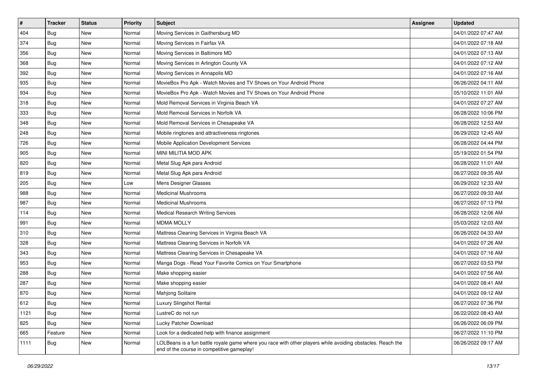| #    | <b>Tracker</b> | <b>Status</b> | Priority | Subject                                                                                                                                                  | Assignee | <b>Updated</b>      |
|------|----------------|---------------|----------|----------------------------------------------------------------------------------------------------------------------------------------------------------|----------|---------------------|
| 404  | Bug            | New           | Normal   | Moving Services in Gaithersburg MD                                                                                                                       |          | 04/01/2022 07:47 AM |
| 374  | Bug            | <b>New</b>    | Normal   | Moving Services in Fairfax VA                                                                                                                            |          | 04/01/2022 07:18 AM |
| 356  | Bug            | New           | Normal   | Moving Services in Baltimore MD                                                                                                                          |          | 04/01/2022 07:13 AM |
| 368  | Bug            | New           | Normal   | Moving Services in Arlington County VA                                                                                                                   |          | 04/01/2022 07:12 AM |
| 392  | Bug            | New           | Normal   | Moving Services in Annapolis MD                                                                                                                          |          | 04/01/2022 07:16 AM |
| 935  | Bug            | New           | Normal   | MovieBox Pro Apk - Watch Movies and TV Shows on Your Android Phone                                                                                       |          | 06/26/2022 04:11 AM |
| 934  | Bug            | New           | Normal   | MovieBox Pro Apk - Watch Movies and TV Shows on Your Android Phone                                                                                       |          | 05/10/2022 11:01 AM |
| 318  | Bug            | New           | Normal   | Mold Removal Services in Virginia Beach VA                                                                                                               |          | 04/01/2022 07:27 AM |
| 333  | Bug            | New           | Normal   | Mold Removal Services in Norfolk VA                                                                                                                      |          | 06/28/2022 10:06 PM |
| 348  | Bug            | New           | Normal   | Mold Removal Services in Chesapeake VA                                                                                                                   |          | 06/28/2022 12:53 AM |
| 248  | Bug            | New           | Normal   | Mobile ringtones and attractiveness ringtones                                                                                                            |          | 06/29/2022 12:45 AM |
| 726  | Bug            | New           | Normal   | Mobile Application Development Services                                                                                                                  |          | 06/28/2022 04:44 PM |
| 905  | <b>Bug</b>     | New           | Normal   | MINI MILITIA MOD APK                                                                                                                                     |          | 05/19/2022 01:54 PM |
| 820  | Bug            | New           | Normal   | Metal Slug Apk para Android                                                                                                                              |          | 06/28/2022 11:01 AM |
| 819  | <b>Bug</b>     | New           | Normal   | Metal Slug Apk para Android                                                                                                                              |          | 06/27/2022 09:35 AM |
| 205  | Bug            | New           | Low      | Mens Designer Glasses                                                                                                                                    |          | 06/29/2022 12:33 AM |
| 988  | Bug            | New           | Normal   | <b>Medicinal Mushrooms</b>                                                                                                                               |          | 06/27/2022 09:33 AM |
| 987  | Bug            | New           | Normal   | <b>Medicinal Mushrooms</b>                                                                                                                               |          | 06/27/2022 07:13 PM |
| 114  | Bug            | New           | Normal   | <b>Medical Research Writing Services</b>                                                                                                                 |          | 06/28/2022 12:06 AM |
| 991  | Bug            | <b>New</b>    | Normal   | <b>MDMA MOLLY</b>                                                                                                                                        |          | 05/03/2022 12:03 AM |
| 310  | Bug            | New           | Normal   | Mattress Cleaning Services in Virginia Beach VA                                                                                                          |          | 06/26/2022 04:33 AM |
| 328  | Bug            | New           | Normal   | Mattress Cleaning Services in Norfolk VA                                                                                                                 |          | 04/01/2022 07:26 AM |
| 343  | Bug            | New           | Normal   | Mattress Cleaning Services in Chesapeake VA                                                                                                              |          | 04/01/2022 07:16 AM |
| 953  | Bug            | New           | Normal   | Manga Dogs - Read Your Favorite Comics on Your Smartphone                                                                                                |          | 06/27/2022 03:53 PM |
| 288  | Bug            | New           | Normal   | Make shopping easier                                                                                                                                     |          | 04/01/2022 07:56 AM |
| 287  | Bug            | New           | Normal   | Make shopping easier                                                                                                                                     |          | 04/01/2022 08:41 AM |
| 870  | Bug            | New           | Normal   | Mahjong Solitaire                                                                                                                                        |          | 04/01/2022 09:12 AM |
| 612  | <b>Bug</b>     | New           | Normal   | Luxury Slingshot Rental                                                                                                                                  |          | 06/27/2022 07:36 PM |
| 1121 | Bug            | New           | Normal   | LustreC do not run                                                                                                                                       |          | 06/22/2022 08:43 AM |
| 825  | Bug            | New           | Normal   | Lucky Patcher Download                                                                                                                                   |          | 06/26/2022 06:09 PM |
| 665  | Feature        | New           | Normal   | Look for a dedicated help with finance assignment                                                                                                        |          | 06/27/2022 11:10 PM |
| 1111 | <b>Bug</b>     | New           | Normal   | LOLBeans is a fun battle royale game where you race with other players while avoiding obstacles. Reach the<br>end of the course in competitive gameplay! |          | 06/26/2022 09:17 AM |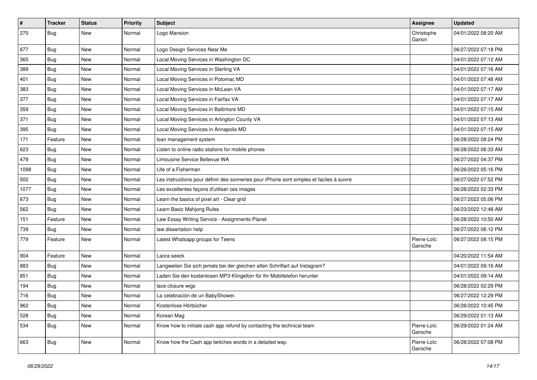| $\vert$ # | <b>Tracker</b> | <b>Status</b> | Priority | <b>Subject</b>                                                                           | <b>Assignee</b>        | <b>Updated</b>      |
|-----------|----------------|---------------|----------|------------------------------------------------------------------------------------------|------------------------|---------------------|
| 270       | Bug            | New           | Normal   | Logo Mansion                                                                             | Christophe<br>Garion   | 04/01/2022 08:20 AM |
| 677       | Bug            | New           | Normal   | Logo Design Services Near Me                                                             |                        | 06/27/2022 07:18 PM |
| 365       | Bug            | New           | Normal   | Local Moving Services in Washington DC                                                   |                        | 04/01/2022 07:12 AM |
| 389       | Bug            | <b>New</b>    | Normal   | Local Moving Services in Sterling VA                                                     |                        | 04/01/2022 07:16 AM |
| 401       | Bug            | New           | Normal   | Local Moving Services in Potomac MD                                                      |                        | 04/01/2022 07:48 AM |
| 383       | Bug            | New           | Normal   | Local Moving Services in McLean VA                                                       |                        | 04/01/2022 07:17 AM |
| 377       | Bug            | New           | Normal   | Local Moving Services in Fairfax VA                                                      |                        | 04/01/2022 07:17 AM |
| 359       | Bug            | New           | Normal   | Local Moving Services in Baltimore MD                                                    |                        | 04/01/2022 07:15 AM |
| 371       | Bug            | <b>New</b>    | Normal   | Local Moving Services in Arlington County VA                                             |                        | 04/01/2022 07:13 AM |
| 395       | Bug            | New           | Normal   | Local Moving Services in Annapolis MD                                                    |                        | 04/01/2022 07:15 AM |
| 171       | Feature        | New           | Normal   | loan management system                                                                   |                        | 06/28/2022 08:24 PM |
| 623       | Bug            | New           | Normal   | Listen to online radio stations for mobile phones                                        |                        | 06/28/2022 06:33 AM |
| 479       | Bug            | New           | Normal   | Limousine Service Bellevue WA                                                            |                        | 06/27/2022 04:37 PM |
| 1098      | Bug            | <b>New</b>    | Normal   | Life of a Fisherman                                                                      |                        | 06/26/2022 05:16 PM |
| 502       | Bug            | New           | Normal   | Les instructions pour définir des sonneries pour iPhone sont simples et faciles à suivre |                        | 06/27/2022 07:52 PM |
| 1077      | Bug            | New           | Normal   | Les excellentes façons d'utiliser ces images                                             |                        | 06/28/2022 02:33 PM |
| 673       | Bug            | New           | Normal   | Learn the basics of pixel art - Clear grid                                               |                        | 06/27/2022 05:06 PM |
| 562       | Bug            | New           | Normal   | Learn Basic Mahjong Rules                                                                |                        | 06/23/2022 12:48 AM |
| 151       | Feature        | New           | Normal   | Law Essay Writing Service - Assignments Planet                                           |                        | 06/28/2022 10:50 AM |
| 739       | Bug            | New           | Normal   | law dissertation help                                                                    |                        | 06/27/2022 06:12 PM |
| 779       | Feature        | New           | Normal   | Latest Whatsapp groups for Teens                                                         | Pierre-Loïc<br>Garoche | 06/27/2022 08:15 PM |
| 904       | Feature        | New           | Normal   | Laora seeck                                                                              |                        | 04/20/2022 11:54 AM |
| 883       | Bug            | New           | Normal   | Langweilen Sie sich jemals bei der gleichen alten Schriftart auf Instagram?              |                        | 04/01/2022 09:16 AM |
| 851       | Bug            | New           | Normal   | Laden Sie den kostenlosen MP3-Klingelton für Ihr Mobiltelefon herunter                   |                        | 04/01/2022 09:14 AM |
| 194       | Bug            | New           | Normal   | lace closure wigs                                                                        |                        | 06/28/2022 02:29 PM |
| 716       | Bug            | New           | Normal   | La celebración de un BabyShower.                                                         |                        | 06/27/2022 12:29 PM |
| 962       | <b>Bug</b>     | New           | Normal   | Kostenlose Hörbücher                                                                     |                        | 06/26/2022 10:45 PM |
| 528       | Bug            | New           | Normal   | Korean Mag                                                                               |                        | 06/29/2022 01:13 AM |
| 534       | Bug            | New           | Normal   | Know how to initiate cash app refund by contacting the technical team                    | Pierre-Loïc<br>Garoche | 06/29/2022 01:24 AM |
| 663       | Bug            | New           | Normal   | Know how the Cash app twitches words in a detailed way.                                  | Pierre-Loïc<br>Garoche | 06/28/2022 07:08 PM |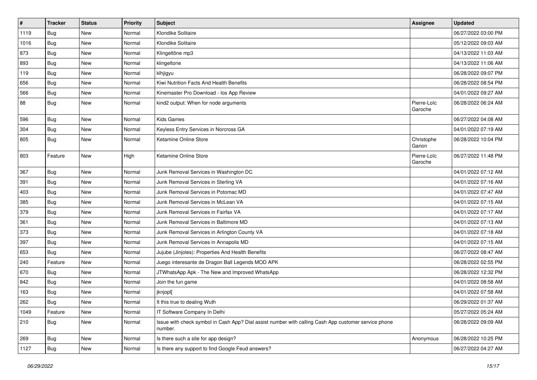| $\vert$ # | <b>Tracker</b> | <b>Status</b> | Priority | <b>Subject</b>                                                                                                  | <b>Assignee</b>        | <b>Updated</b>      |
|-----------|----------------|---------------|----------|-----------------------------------------------------------------------------------------------------------------|------------------------|---------------------|
| 1119      | Bug            | New           | Normal   | Klondike Solitaire                                                                                              |                        | 06/27/2022 03:00 PM |
| 1016      | Bug            | <b>New</b>    | Normal   | Klondike Solitaire                                                                                              |                        | 05/12/2022 09:03 AM |
| 873       | Bug            | New           | Normal   | Klingeltöne mp3                                                                                                 |                        | 04/13/2022 11:03 AM |
| 893       | Bug            | New           | Normal   | klingeltone                                                                                                     |                        | 04/13/2022 11:06 AM |
| 119       | Bug            | New           | Normal   | klhjigyu                                                                                                        |                        | 06/28/2022 09:07 PM |
| 656       | Bug            | New           | Normal   | Kiwi Nutrition Facts And Health Benefits                                                                        |                        | 06/28/2022 08:54 PM |
| 566       | Bug            | New           | Normal   | Kinemaster Pro Download - los App Review                                                                        |                        | 04/01/2022 09:27 AM |
| 88        | Bug            | New           | Normal   | kind2 output: When for node arguments                                                                           | Pierre-Loïc<br>Garoche | 06/28/2022 06:24 AM |
| 596       | Bug            | <b>New</b>    | Normal   | <b>Kids Games</b>                                                                                               |                        | 06/27/2022 04:08 AM |
| 304       | Bug            | New           | Normal   | Keyless Entry Services in Norcross GA                                                                           |                        | 04/01/2022 07:19 AM |
| 805       | Bug            | New           | Normal   | Ketamine Online Store                                                                                           | Christophe<br>Garion   | 06/28/2022 10:04 PM |
| 803       | Feature        | New           | High     | Ketamine Online Store                                                                                           | Pierre-Loïc<br>Garoche | 06/27/2022 11:48 PM |
| 367       | Bug            | New           | Normal   | Junk Removal Services in Washington DC                                                                          |                        | 04/01/2022 07:12 AM |
| 391       | Bug            | New           | Normal   | Junk Removal Services in Sterling VA                                                                            |                        | 04/01/2022 07:16 AM |
| 403       | Bug            | <b>New</b>    | Normal   | Junk Removal Services in Potomac MD                                                                             |                        | 04/01/2022 07:47 AM |
| 385       | Bug            | New           | Normal   | Junk Removal Services in McLean VA                                                                              |                        | 04/01/2022 07:15 AM |
| 379       | Bug            | New           | Normal   | Junk Removal Services in Fairfax VA                                                                             |                        | 04/01/2022 07:17 AM |
| 361       | Bug            | New           | Normal   | Junk Removal Services in Baltimore MD                                                                           |                        | 04/01/2022 07:13 AM |
| 373       | Bug            | New           | Normal   | Junk Removal Services in Arlington County VA                                                                    |                        | 04/01/2022 07:18 AM |
| 397       | Bug            | New           | Normal   | Junk Removal Services in Annapolis MD                                                                           |                        | 04/01/2022 07:15 AM |
| 653       | Bug            | New           | Normal   | Jujube (Jinjoles): Properties And Health Benefits                                                               |                        | 06/27/2022 08:47 AM |
| 240       | Feature        | New           | Normal   | Juego interesante de Dragon Ball Legends MOD APK                                                                |                        | 06/28/2022 02:55 PM |
| 670       | Bug            | New           | Normal   | JTWhatsApp Apk - The New and Improved WhatsApp                                                                  |                        | 06/28/2022 12:32 PM |
| 842       | Bug            | New           | Normal   | Join the fun game                                                                                               |                        | 04/01/2022 08:58 AM |
| 163       | <b>Bug</b>     | New           | Normal   | jknjopl[                                                                                                        |                        | 04/01/2022 07:58 AM |
| 262       | Bug            | New           | Normal   | It this true to dealing Wuth                                                                                    |                        | 06/29/2022 01:37 AM |
| 1049      | Feature        | New           | Normal   | IT Software Company In Delhi                                                                                    |                        | 05/27/2022 05:24 AM |
| 210       | Bug            | New           | Normal   | Issue with check symbol in Cash App? Dial assist number with calling Cash App customer service phone<br>number. |                        | 06/28/2022 09:09 AM |
| 269       | Bug            | New           | Normal   | Is there such a site for app design?                                                                            | Anonymous              | 06/28/2022 10:25 PM |
| 1127      | Bug            | New           | Normal   | Is there any support to find Google Feud answers?                                                               |                        | 06/27/2022 04:27 AM |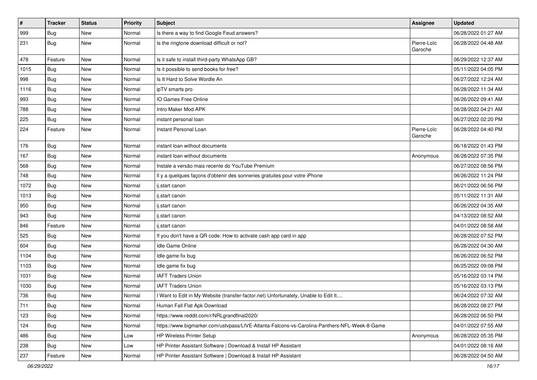| $\sharp$ | <b>Tracker</b> | <b>Status</b> | Priority | <b>Subject</b>                                                                               | Assignee               | <b>Updated</b>      |
|----------|----------------|---------------|----------|----------------------------------------------------------------------------------------------|------------------------|---------------------|
| 999      | Bug            | New           | Normal   | Is there a way to find Google Feud answers?                                                  |                        | 06/28/2022 01:27 AM |
| 231      | Bug            | New           | Normal   | Is the ringtone download difficult or not?                                                   | Pierre-Loïc<br>Garoche | 06/28/2022 04:48 AM |
| 478      | Feature        | New           | Normal   | Is it safe to install third-party WhatsApp GB?                                               |                        | 06/29/2022 12:37 AM |
| 1015     | Bug            | New           | Normal   | Is it possible to send books for free?                                                       |                        | 05/11/2022 04:05 PM |
| 998      | Bug            | New           | Normal   | Is It Hard to Solve Wordle An                                                                |                        | 06/27/2022 12:24 AM |
| 1116     | Bug            | New           | Normal   | ipTV smarts pro                                                                              |                        | 06/28/2022 11:34 AM |
| 993      | Bug            | <b>New</b>    | Normal   | IO Games Free Online                                                                         |                        | 06/26/2022 09:41 AM |
| 788      | Bug            | New           | Normal   | Intro Maker Mod APK                                                                          |                        | 06/28/2022 04:21 AM |
| 225      | Bug            | <b>New</b>    | Normal   | instant personal loan                                                                        |                        | 06/27/2022 02:20 PM |
| 224      | Feature        | New           | Normal   | Instant Personal Loan                                                                        | Pierre-Loïc<br>Garoche | 06/28/2022 04:40 PM |
| 176      | Bug            | New           | Normal   | instant loan without documents                                                               |                        | 06/18/2022 01:43 PM |
| 167      | Bug            | New           | Normal   | instant loan without documents                                                               | Anonymous              | 06/28/2022 07:35 PM |
| 568      | Bug            | New           | Normal   | Instale a versão mais recente do YouTube Premium                                             |                        | 06/27/2022 08:56 PM |
| 748      | Bug            | <b>New</b>    | Normal   | Il y a quelques façons d'obtenir des sonneries gratuites pour votre iPhone                   |                        | 06/26/2022 11:24 PM |
| 1072     | Bug            | New           | Normal   | ij.start canon                                                                               |                        | 06/21/2022 06:56 PM |
| 1013     | Bug            | New           | Normal   | ij.start canon                                                                               |                        | 05/11/2022 11:31 AM |
| 950      | Bug            | New           | Normal   | ij.start canon                                                                               |                        | 06/26/2022 04:35 AM |
| 943      | Bug            | New           | Normal   | ij.start canon                                                                               |                        | 04/13/2022 08:52 AM |
| 846      | Feature        | New           | Normal   | ij.start canon                                                                               |                        | 04/01/2022 08:58 AM |
| 525      | Bug            | New           | Normal   | If you don't have a QR code: How to activate cash app card in app                            |                        | 06/28/2022 07:52 PM |
| 604      | Bug            | <b>New</b>    | Normal   | Idle Game Online                                                                             |                        | 06/28/2022 04:30 AM |
| 1104     | Bug            | New           | Normal   | Idle game fix bug                                                                            |                        | 06/26/2022 06:52 PM |
| 1103     | Bug            | New           | Normal   | Idle game fix bug                                                                            |                        | 06/25/2022 09:08 PM |
| 1031     | Bug            | New           | Normal   | <b>IAFT Traders Union</b>                                                                    |                        | 05/16/2022 03:14 PM |
| 1030     | Bug            | New           | Normal   | <b>IAFT Traders Union</b>                                                                    |                        | 05/16/2022 03:13 PM |
| 736      | Bug            | New           | Normal   | I Want to Edit in My Website (transfer-factor.net) Unfortunately, Unable to Edit It          |                        | 06/24/2022 07:32 AM |
| 711      | Bug            | New           | Normal   | Human Fall Flat Apk Download                                                                 |                        | 06/28/2022 08:27 PM |
| 123      | Bug            | New           | Normal   | https://www.reddit.com/r/NRLgrandfinal2020/                                                  |                        | 06/28/2022 06:50 PM |
| 124      | Bug            | New           | Normal   | https://www.bigmarker.com/ustvpass/LIVE-Atlanta-Falcons-vs-Carolina-Panthers-NFL-Week-8-Game |                        | 04/01/2022 07:55 AM |
| 486      | <b>Bug</b>     | New           | Low      | HP Wireless Printer Setup                                                                    | Anonymous              | 06/28/2022 05:35 PM |
| 238      | <b>Bug</b>     | New           | Low      | HP Printer Assistant Software   Download & Install HP Assistant                              |                        | 04/01/2022 08:16 AM |
| 237      | Feature        | New           | Normal   | HP Printer Assistant Software   Download & Install HP Assistant                              |                        | 06/28/2022 04:50 AM |